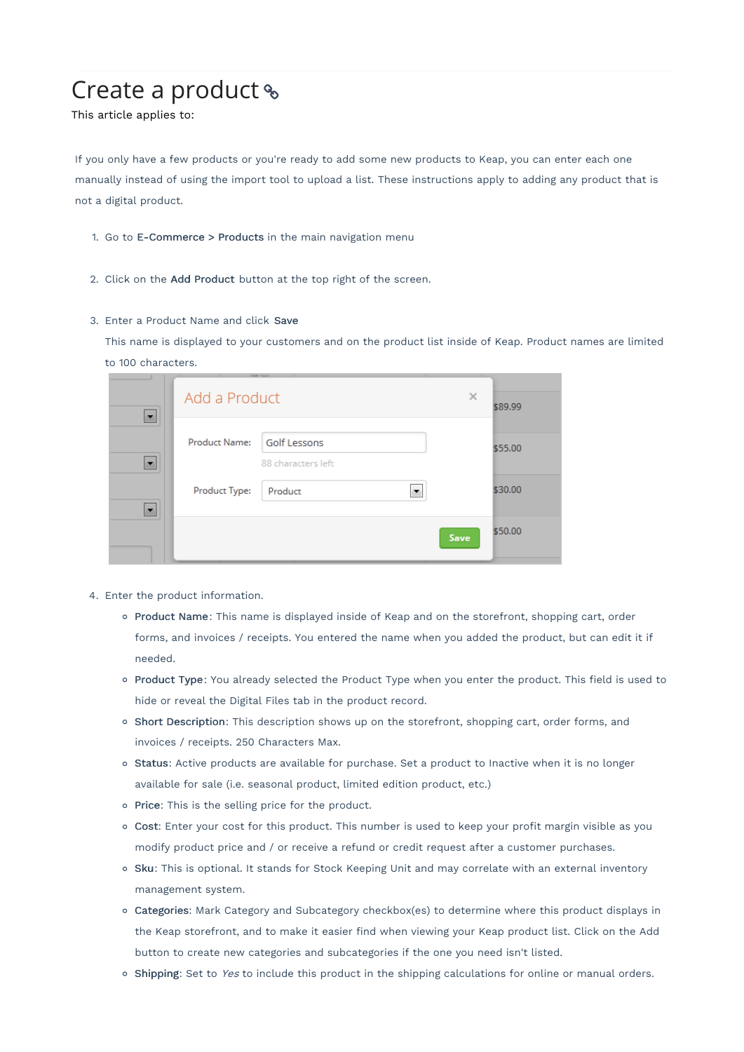## Create a product

This article applies to:

If you only have a few products or you're ready to add some new products to Keap, you can enter each one manually instead of using the import tool to upload a list. These instructions apply to adding any product that is not a digital product.

- 1. Go to E-Commerce > Products in the main navigation menu
- 2. Click on the Add Product button at the top right of the screen.

## 3. Enter a Product Name and click Save

This name is displayed to your customers and on the product list inside of Keap. Product names are limited to 100 characters.

|                          |               |                                           | . .      |         |
|--------------------------|---------------|-------------------------------------------|----------|---------|
| $\overline{\phantom{a}}$ | Add a Product |                                           | $\times$ | \$89.99 |
| $\overline{\phantom{a}}$ | Product Name: | <b>Golf Lessons</b><br>88 characters left |          | \$55.00 |
| $\overline{\phantom{a}}$ | Product Type: | Product                                   |          | \$30.00 |
|                          |               |                                           | Save     | \$50.00 |

- 4. Enter the product information.
	- o Product Name: This name is displayed inside of Keap and on the storefront, shopping cart, order forms, and invoices / receipts. You entered the name when you added the product, but can edit it if needed.
	- o Product Type: You already selected the Product Type when you enter the product. This field is used to hide or reveal the Digital Files tab in the product record.
	- o Short Description: This description shows up on the storefront, shopping cart, order forms, and invoices / receipts. 250 Characters Max.
	- o Status: Active products are available for purchase. Set a product to Inactive when it is no longer available for sale (i.e. seasonal product, limited edition product, etc.)
	- o Price: This is the selling price for the product.
	- Cost: Enter your cost for this product. This number is used to keep your profit margin visible as you modify product price and / or receive a refund or credit request after a customer purchases.
	- o Sku: This is optional. It stands for Stock Keeping Unit and may correlate with an external inventory management system.
	- Categories: Mark Category and Subcategory checkbox(es) to determine where this product displays in the Keap storefront, and to make it easier find when viewing your Keap product list. Click on the Add button to create new categories and subcategories if the one you need isn't listed.
	- o Shipping: Set to Yes to include this product in the shipping calculations for online or manual orders.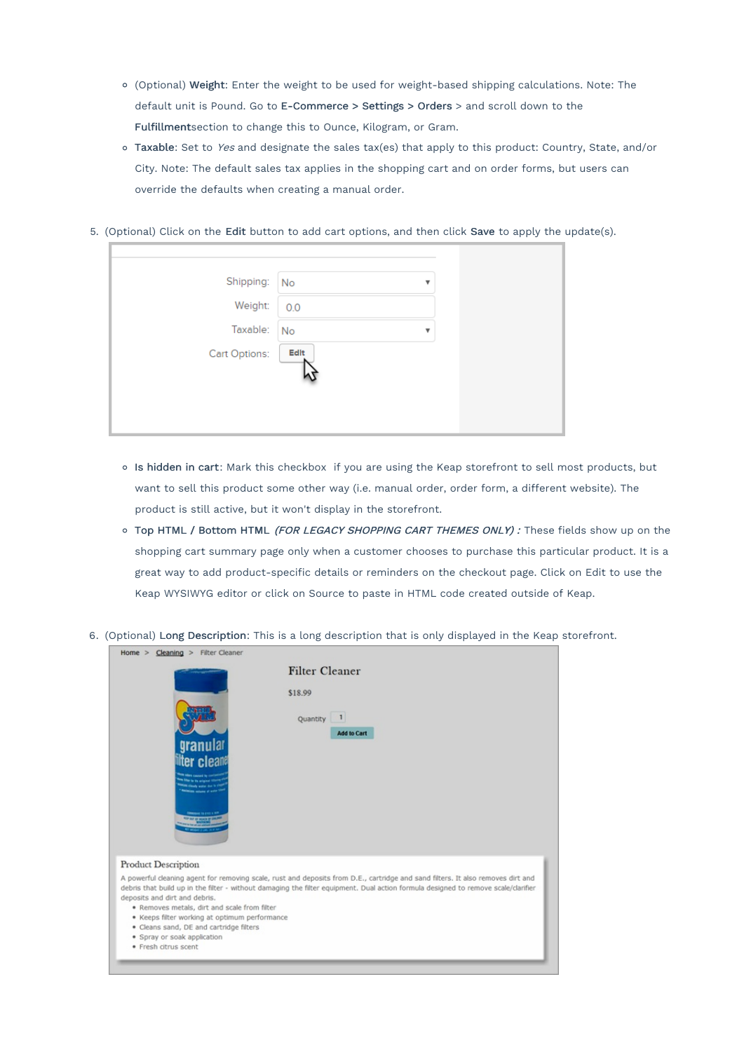- (Optional) Weight: Enter the weight to be used for weight-based shipping calculations. Note: The default unit is Pound. Go to E-Commerce > Settings > Orders > and scroll down to the Fulfillmentsection to change this to Ounce, Kilogram, or Gram.
- o Taxable: Set to Yes and designate the sales tax(es) that apply to this product: Country, State, and/or City. Note: The default sales tax applies in the shopping cart and on order forms, but users can override the defaults when creating a manual order.
- 5. (Optional) Click on the Edit button to add cart options, and then click Save to apply the update(s).

| Shipping: No  |      | v                       |  |
|---------------|------|-------------------------|--|
| Weight:       | 0.0  |                         |  |
| Taxable:      | No   | $\overline{\mathbf{v}}$ |  |
| Cart Options: | Edit |                         |  |
|               |      |                         |  |
|               |      |                         |  |
|               |      |                         |  |

- Is hidden in cart: Mark this checkbox if you are using the Keap storefront to sell most products, but want to sell this product some other way (i.e. manual order, order form, a different website). The product is still active, but it won't display in the storefront.
- o Top HTML / Bottom HTML (FOR LEGACY SHOPPING CART THEMES ONLY) : These fields show up on the shopping cart summary page only when a customer chooses to purchase this particular product. It is a great way to add product-specific details or reminders on the checkout page. Click on Edit to use the Keap WYSIWYG editor or click on Source to paste in HTML code created outside of Keap.
- 6. (Optional) Long Description: This is a long description that is only displayed in the Keap storefront.

|                                                                                                                                                                           | <b>Filter Cleaner</b>                                                                                                                                                                                                                                                 |
|---------------------------------------------------------------------------------------------------------------------------------------------------------------------------|-----------------------------------------------------------------------------------------------------------------------------------------------------------------------------------------------------------------------------------------------------------------------|
|                                                                                                                                                                           | \$18.99<br>Quantity 1<br>Add to Cart                                                                                                                                                                                                                                  |
| granular<br>ilter clean<br><b>Distances In circle &amp; MP</b>                                                                                                            |                                                                                                                                                                                                                                                                       |
| Product Description                                                                                                                                                       |                                                                                                                                                                                                                                                                       |
| deposits and dirt and debris.<br>. Removes metals, dirt and scale from filter<br>· Keeps filter working at optimum performance<br>· Cleans sand, DE and cartridge filters | A powerful cleaning agent for removing scale, rust and deposits from D.E., cartridge and sand filters. It also removes dirt and<br>debris that build up in the filter - without damaging the filter equipment. Dual action formula designed to remove scale/clarifier |
| · Spray or soak application<br>· Fresh citrus scent                                                                                                                       |                                                                                                                                                                                                                                                                       |